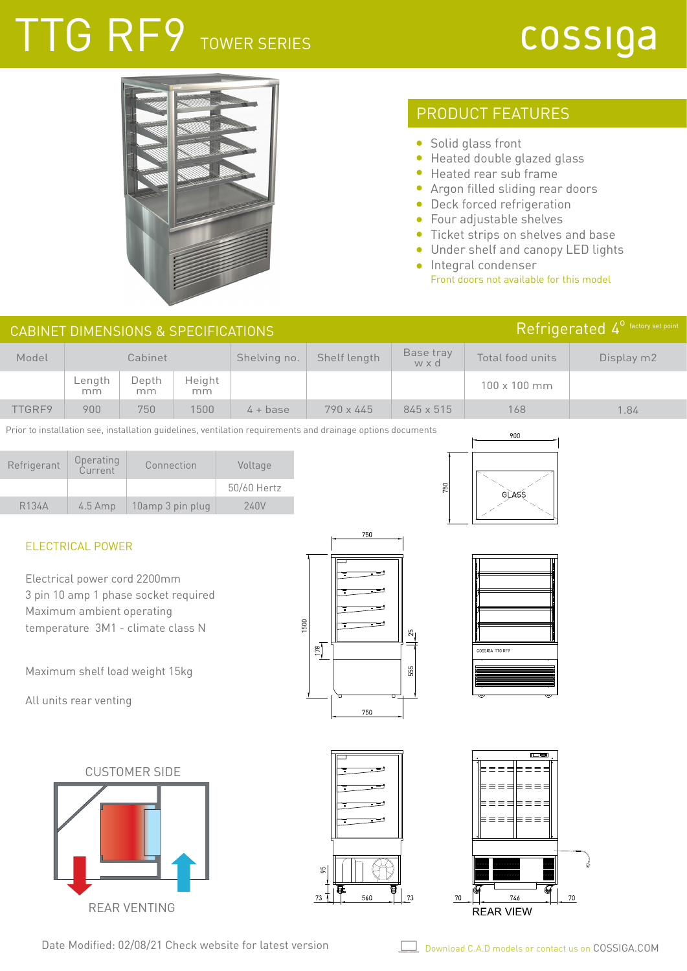# TTG RF9 TOWER SERIES

## cossiga



### PRODUCT FEATURES

- Solid glass front
- Heated double glazed glass
- Heated rear sub frame
- Argon filled sliding rear doors
- **•** Deck forced refrigeration
- Four adjustable shelves
- Ticket strips on shelves and base
- Under shelf and canopy LED lights
- **Integral condenser** Front doors not available for this model

| CABINET DIMENSIONS & SPECIFICATIONS |              |             | Refrigerated 4 <sup>°</sup> factory set point |              |                  |                  |                     |      |
|-------------------------------------|--------------|-------------|-----------------------------------------------|--------------|------------------|------------------|---------------------|------|
| Model                               | Cabinet      |             | Shelving no.                                  | Shelf length | Base tray<br>wxd | Total food units | Display m2          |      |
|                                     | Length<br>mm | Depth<br>mm | Height<br>mm                                  |              |                  |                  | $100 \times 100$ mm |      |
| TTGRF9                              | 900          | 750         | 1500                                          | $4 + base$   | $790 \times 445$ | $845 \times 515$ | 168                 | 1.84 |

Prior to installation see, installation guidelines, ventilation requirements and drainage options documents

| Refrigerant        | Operating<br>Current | Connection       | Voltage     |
|--------------------|----------------------|------------------|-------------|
|                    |                      |                  | 50/60 Hertz |
| R <sub>134</sub> A | $4.5$ Amp            | 10amp 3 pin plug | 240V        |



#### ELECTRICAL POWER

Electrical power cord 2200mm 3 pin 10 amp 1 phase socket required Maximum ambient operating temperature 3M1 - climate class N

Maximum shelf load weight 15kg

All units rear venting

CUSTOMER SIDE

REAR VENTING







Date Modified: 02/08/21 Check website for latest version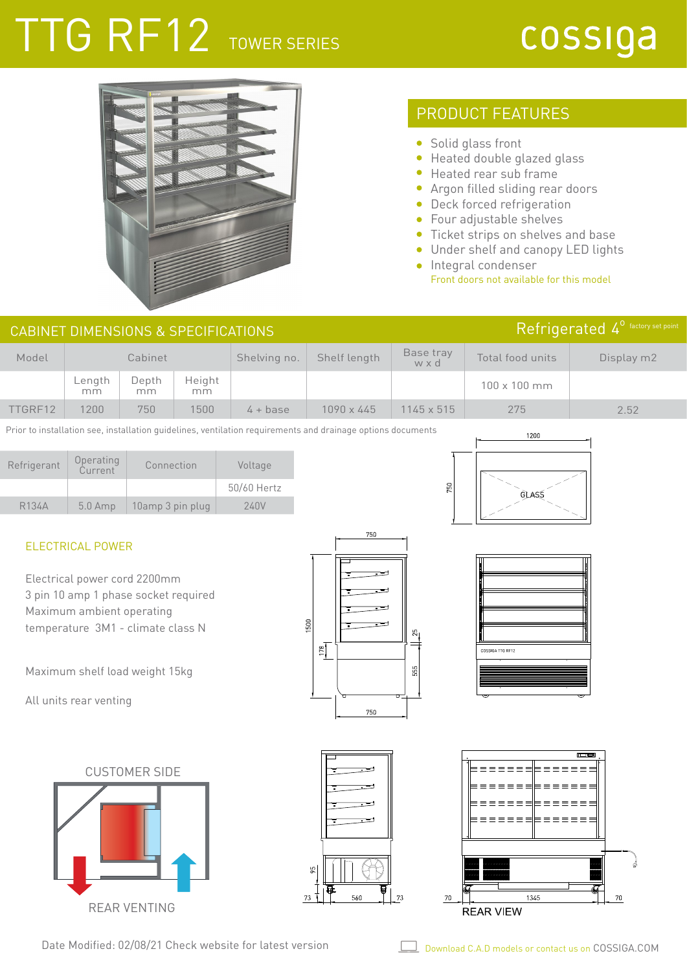# TTG RF12 TOWER SERIES

## cossiga



### PRODUCT FEATURES

- Solid glass front
- Heated double glazed glass
- Heated rear sub frame  $\bullet$
- Argon filled sliding rear doors
- Deck forced refrigeration
- Four adjustable shelves
- Ticket strips on shelves and base
- Under shelf and canopy LED lights
- **·** Integral condenser Front doors not available for this model

| CABINET DIMENSIONS & SPECIFICATIONS |              |             | Refrigerated $4^{\circ}$ factory set point |              |                   |                   |                     |      |
|-------------------------------------|--------------|-------------|--------------------------------------------|--------------|-------------------|-------------------|---------------------|------|
| Model                               | Cabinet      |             | Shelving no.                               | Shelf length | Base tray<br>wxd  | Total food units  | Display m2          |      |
|                                     | Length<br>mm | Depth<br>mm | Height<br>mm                               |              |                   |                   | $100 \times 100$ mm |      |
| TTGRF12                             | 1200         | 750         | 1500                                       | $4 + base$   | $1090 \times 445$ | $1145 \times 515$ | 275                 | 2.52 |

Prior to installation see, installation guidelines, ventilation requirements and drainage options documents

| Refrigerant        | Operating<br>Current | Connection       | Voltage     |
|--------------------|----------------------|------------------|-------------|
|                    |                      |                  | 50/60 Hertz |
| R <sub>134</sub> A | $5.0$ Amp            | 10amp 3 pin plug | 240V        |



#### ELECTRICAL POWER

Electrical power cord 2200mm 3 pin 10 amp 1 phase socket required Maximum ambient operating temperature 3M1 - climate class N

Maximum shelf load weight 15kg

All units rear venting

CUSTOMER SIDE REAR VENTING







Date Modified: 02/08/21 Check website for latest version